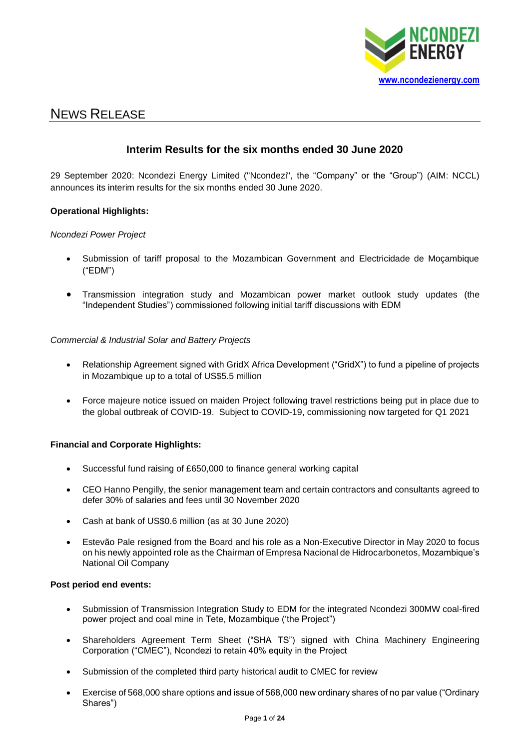

# NEWS RELEASE

# **Interim Results for the six months ended 30 June 2020**

29 September 2020: Ncondezi Energy Limited ("Ncondezi", the "Company" or the "Group") (AIM: NCCL) announces its interim results for the six months ended 30 June 2020.

# **Operational Highlights:**

# *Ncondezi Power Project*

- Submission of tariff proposal to the Mozambican Government and Electricidade de Moçambique ("EDM")
- Transmission integration study and Mozambican power market outlook study updates (the "Independent Studies") commissioned following initial tariff discussions with EDM

# *Commercial & Industrial Solar and Battery Projects*

- Relationship Agreement signed with GridX Africa Development ("GridX") to fund a pipeline of projects in Mozambique up to a total of US\$5.5 million
- Force majeure notice issued on maiden Project following travel restrictions being put in place due to the global outbreak of COVID-19. Subject to COVID-19, commissioning now targeted for Q1 2021

# **Financial and Corporate Highlights:**

- Successful fund raising of £650,000 to finance general working capital
- CEO Hanno Pengilly, the senior management team and certain contractors and consultants agreed to defer 30% of salaries and fees until 30 November 2020
- Cash at bank of US\$0.6 million (as at 30 June 2020)
- Estevão Pale resigned from the Board and his role as a Non-Executive Director in May 2020 to focus on his newly appointed role as the Chairman of Empresa Nacional de Hidrocarbonetos, Mozambique's National Oil Company

### **Post period end events:**

- Submission of Transmission Integration Study to EDM for the integrated Ncondezi 300MW coal-fired power project and coal mine in Tete, Mozambique ('the Project")
- Shareholders Agreement Term Sheet ("SHA TS") signed with China Machinery Engineering Corporation ("CMEC"), Ncondezi to retain 40% equity in the Project
- Submission of the completed third party historical audit to CMEC for review
- Exercise of 568,000 share options and issue of 568,000 new ordinary shares of no par value ("Ordinary Shares")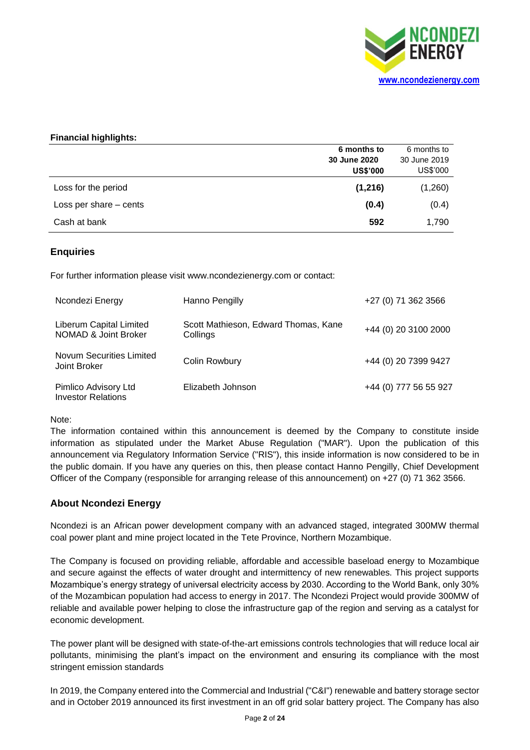

# **Financial highlights:**

|                        | 6 months to     | 6 months to  |
|------------------------|-----------------|--------------|
|                        | 30 June 2020    | 30 June 2019 |
|                        | <b>US\$'000</b> | US\$'000     |
| Loss for the period    | (1,216)         | (1,260)      |
| Loss per share – cents | (0.4)           | (0.4)        |
| Cash at bank           | 592             | 1,790        |

# **Enquiries**

For further information please visit www.ncondezienergy.com or contact:

| Ncondezi Energy                                   | Hanno Pengilly                                   | +27 (0) 71 362 3566   |
|---------------------------------------------------|--------------------------------------------------|-----------------------|
| Liberum Capital Limited<br>NOMAD & Joint Broker   | Scott Mathieson, Edward Thomas, Kane<br>Collings | +44 (0) 20 3100 2000  |
| Novum Securities Limited<br>Joint Broker          | Colin Rowbury                                    | +44 (0) 20 7399 9427  |
| Pimlico Advisory Ltd<br><b>Investor Relations</b> | Elizabeth Johnson                                | +44 (0) 777 56 55 927 |

Note:

The information contained within this announcement is deemed by the Company to constitute inside information as stipulated under the Market Abuse Regulation ("MAR"). Upon the publication of this announcement via Regulatory Information Service ("RIS"), this inside information is now considered to be in the public domain. If you have any queries on this, then please contact Hanno Pengilly, Chief Development Officer of the Company (responsible for arranging release of this announcement) on +27 (0) 71 362 3566.

# **About Ncondezi Energy**

Ncondezi is an African power development company with an advanced staged, integrated 300MW thermal coal power plant and mine project located in the Tete Province, Northern Mozambique.

The Company is focused on providing reliable, affordable and accessible baseload energy to Mozambique and secure against the effects of water drought and intermittency of new renewables. This project supports Mozambique's energy strategy of universal electricity access by 2030. According to the World Bank, only 30% of the Mozambican population had access to energy in 2017. The Ncondezi Project would provide 300MW of reliable and available power helping to close the infrastructure gap of the region and serving as a catalyst for economic development.

The power plant will be designed with state-of-the-art emissions controls technologies that will reduce local air pollutants, minimising the plant's impact on the environment and ensuring its compliance with the most stringent emission standards

In 2019, the Company entered into the Commercial and Industrial ("C&I") renewable and battery storage sector and in October 2019 announced its first investment in an off grid solar battery project. The Company has also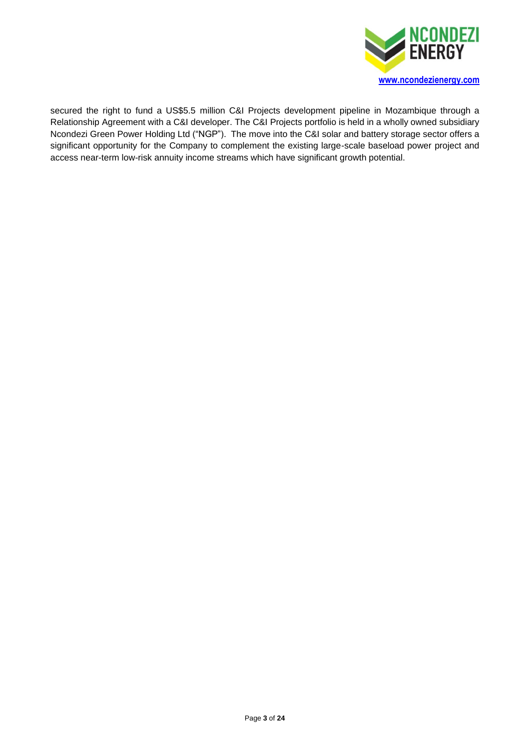

secured the right to fund a US\$5.5 million C&I Projects development pipeline in Mozambique through a Relationship Agreement with a C&I developer. The C&I Projects portfolio is held in a wholly owned subsidiary Ncondezi Green Power Holding Ltd ("NGP"). The move into the C&I solar and battery storage sector offers a significant opportunity for the Company to complement the existing large-scale baseload power project and access near-term low-risk annuity income streams which have significant growth potential.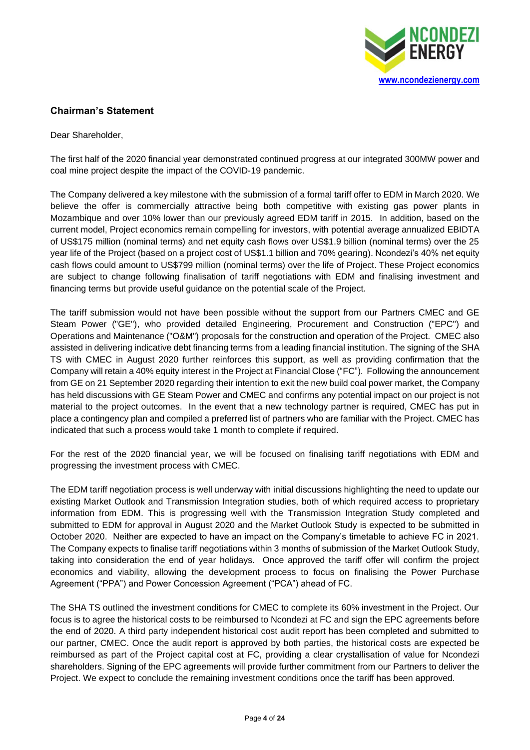

# **Chairman's Statement**

Dear Shareholder,

The first half of the 2020 financial year demonstrated continued progress at our integrated 300MW power and coal mine project despite the impact of the COVID-19 pandemic.

The Company delivered a key milestone with the submission of a formal tariff offer to EDM in March 2020. We believe the offer is commercially attractive being both competitive with existing gas power plants in Mozambique and over 10% lower than our previously agreed EDM tariff in 2015. In addition, based on the current model, Project economics remain compelling for investors, with potential average annualized EBIDTA of US\$175 million (nominal terms) and net equity cash flows over US\$1.9 billion (nominal terms) over the 25 year life of the Project (based on a project cost of US\$1.1 billion and 70% gearing). Ncondezi's 40% net equity cash flows could amount to US\$799 million (nominal terms) over the life of Project. These Project economics are subject to change following finalisation of tariff negotiations with EDM and finalising investment and financing terms but provide useful guidance on the potential scale of the Project.

The tariff submission would not have been possible without the support from our Partners CMEC and GE Steam Power ("GE"), who provided detailed Engineering, Procurement and Construction ("EPC") and Operations and Maintenance ("O&M") proposals for the construction and operation of the Project. CMEC also assisted in delivering indicative debt financing terms from a leading financial institution. The signing of the SHA TS with CMEC in August 2020 further reinforces this support, as well as providing confirmation that the Company will retain a 40% equity interest in the Project at Financial Close ("FC"). Following the announcement from GE on 21 September 2020 regarding their intention to exit the new build coal power market, the Company has held discussions with GE Steam Power and CMEC and confirms any potential impact on our project is not material to the project outcomes. In the event that a new technology partner is required, CMEC has put in place a contingency plan and compiled a preferred list of partners who are familiar with the Project. CMEC has indicated that such a process would take 1 month to complete if required.

For the rest of the 2020 financial year, we will be focused on finalising tariff negotiations with EDM and progressing the investment process with CMEC.

The EDM tariff negotiation process is well underway with initial discussions highlighting the need to update our existing Market Outlook and Transmission Integration studies, both of which required access to proprietary information from EDM. This is progressing well with the Transmission Integration Study completed and submitted to EDM for approval in August 2020 and the Market Outlook Study is expected to be submitted in October 2020. Neither are expected to have an impact on the Company's timetable to achieve FC in 2021. The Company expects to finalise tariff negotiations within 3 months of submission of the Market Outlook Study, taking into consideration the end of year holidays. Once approved the tariff offer will confirm the project economics and viability, allowing the development process to focus on finalising the Power Purchase Agreement ("PPA") and Power Concession Agreement ("PCA") ahead of FC.

The SHA TS outlined the investment conditions for CMEC to complete its 60% investment in the Project. Our focus is to agree the historical costs to be reimbursed to Ncondezi at FC and sign the EPC agreements before the end of 2020. A third party independent historical cost audit report has been completed and submitted to our partner, CMEC. Once the audit report is approved by both parties, the historical costs are expected be reimbursed as part of the Project capital cost at FC, providing a clear crystallisation of value for Ncondezi shareholders. Signing of the EPC agreements will provide further commitment from our Partners to deliver the Project. We expect to conclude the remaining investment conditions once the tariff has been approved.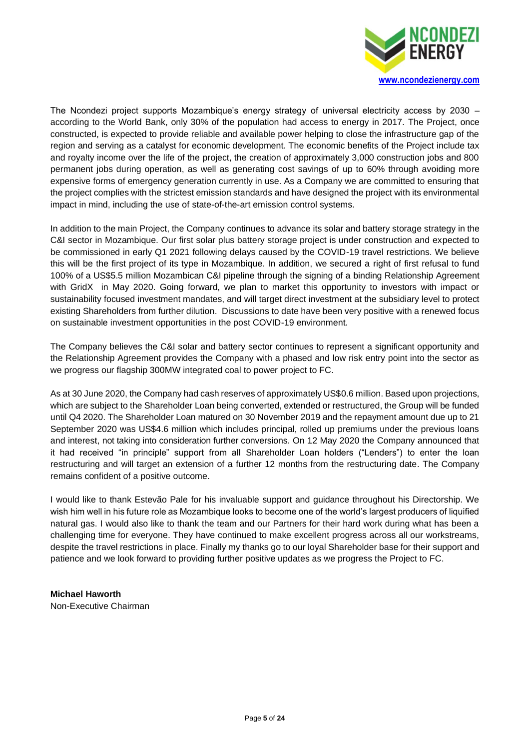

The Ncondezi project supports Mozambique's energy strategy of universal electricity access by 2030 – according to the World Bank, only 30% of the population had access to energy in 2017. The Project, once constructed, is expected to provide reliable and available power helping to close the infrastructure gap of the region and serving as a catalyst for economic development. The economic benefits of the Project include tax and royalty income over the life of the project, the creation of approximately 3,000 construction jobs and 800 permanent jobs during operation, as well as generating cost savings of up to 60% through avoiding more expensive forms of emergency generation currently in use. As a Company we are committed to ensuring that the project complies with the strictest emission standards and have designed the project with its environmental impact in mind, including the use of state-of-the-art emission control systems.

In addition to the main Project, the Company continues to advance its solar and battery storage strategy in the C&I sector in Mozambique. Our first solar plus battery storage project is under construction and expected to be commissioned in early Q1 2021 following delays caused by the COVID-19 travel restrictions. We believe this will be the first project of its type in Mozambique. In addition, we secured a right of first refusal to fund 100% of a US\$5.5 million Mozambican C&I pipeline through the signing of a binding Relationship Agreement with GridX in May 2020. Going forward, we plan to market this opportunity to investors with impact or sustainability focused investment mandates, and will target direct investment at the subsidiary level to protect existing Shareholders from further dilution. Discussions to date have been very positive with a renewed focus on sustainable investment opportunities in the post COVID-19 environment.

The Company believes the C&I solar and battery sector continues to represent a significant opportunity and the Relationship Agreement provides the Company with a phased and low risk entry point into the sector as we progress our flagship 300MW integrated coal to power project to FC.

As at 30 June 2020, the Company had cash reserves of approximately US\$0.6 million. Based upon projections, which are subject to the Shareholder Loan being converted, extended or restructured, the Group will be funded until Q4 2020. The Shareholder Loan matured on 30 November 2019 and the repayment amount due up to 21 September 2020 was US\$4.6 million which includes principal, rolled up premiums under the previous loans and interest, not taking into consideration further conversions. On 12 May 2020 the Company announced that it had received "in principle" support from all Shareholder Loan holders ("Lenders") to enter the loan restructuring and will target an extension of a further 12 months from the restructuring date. The Company remains confident of a positive outcome.

I would like to thank Estevão Pale for his invaluable support and guidance throughout his Directorship. We wish him well in his future role as Mozambique looks to become one of the world's largest producers of liquified natural gas. I would also like to thank the team and our Partners for their hard work during what has been a challenging time for everyone. They have continued to make excellent progress across all our workstreams, despite the travel restrictions in place. Finally my thanks go to our loyal Shareholder base for their support and patience and we look forward to providing further positive updates as we progress the Project to FC.

**Michael Haworth** Non-Executive Chairman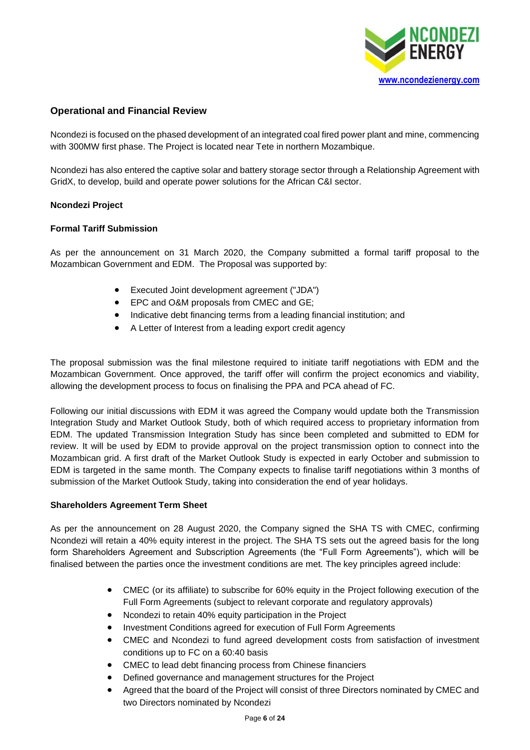

# **Operational and Financial Review**

Ncondezi is focused on the phased development of an integrated coal fired power plant and mine, commencing with 300MW first phase. The Project is located near Tete in northern Mozambique.

Ncondezi has also entered the captive solar and battery storage sector through a Relationship Agreement with GridX, to develop, build and operate power solutions for the African C&I sector.

# **Ncondezi Project**

# **Formal Tariff Submission**

As per the announcement on 31 March 2020, the Company submitted a formal tariff proposal to the Mozambican Government and EDM. The Proposal was supported by:

- Executed Joint development agreement ("JDA")
- EPC and O&M proposals from CMEC and GE;
- Indicative debt financing terms from a leading financial institution; and
- A Letter of Interest from a leading export credit agency

The proposal submission was the final milestone required to initiate tariff negotiations with EDM and the Mozambican Government. Once approved, the tariff offer will confirm the project economics and viability, allowing the development process to focus on finalising the PPA and PCA ahead of FC.

Following our initial discussions with EDM it was agreed the Company would update both the Transmission Integration Study and Market Outlook Study, both of which required access to proprietary information from EDM. The updated Transmission Integration Study has since been completed and submitted to EDM for review. It will be used by EDM to provide approval on the project transmission option to connect into the Mozambican grid. A first draft of the Market Outlook Study is expected in early October and submission to EDM is targeted in the same month. The Company expects to finalise tariff negotiations within 3 months of submission of the Market Outlook Study, taking into consideration the end of year holidays.

### **Shareholders Agreement Term Sheet**

As per the announcement on 28 August 2020, the Company signed the SHA TS with CMEC, confirming Ncondezi will retain a 40% equity interest in the project. The SHA TS sets out the agreed basis for the long form Shareholders Agreement and Subscription Agreements (the "Full Form Agreements"), which will be finalised between the parties once the investment conditions are met. The key principles agreed include:

- CMEC (or its affiliate) to subscribe for 60% equity in the Project following execution of the Full Form Agreements (subject to relevant corporate and regulatory approvals)
- Ncondezi to retain 40% equity participation in the Project
- Investment Conditions agreed for execution of Full Form Agreements
- CMEC and Ncondezi to fund agreed development costs from satisfaction of investment conditions up to FC on a 60:40 basis
- CMEC to lead debt financing process from Chinese financiers
- Defined governance and management structures for the Project
- Agreed that the board of the Project will consist of three Directors nominated by CMEC and two Directors nominated by Ncondezi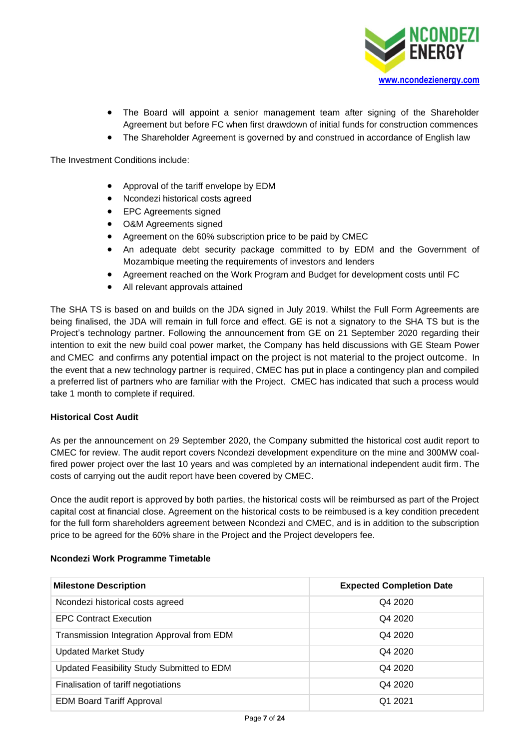

- The Board will appoint a senior management team after signing of the Shareholder Agreement but before FC when first drawdown of initial funds for construction commences
- The Shareholder Agreement is governed by and construed in accordance of English law

The Investment Conditions include:

- Approval of the tariff envelope by EDM
- Ncondezi historical costs agreed
- EPC Agreements signed
- O&M Agreements signed
- Agreement on the 60% subscription price to be paid by CMEC
- An adequate debt security package committed to by EDM and the Government of Mozambique meeting the requirements of investors and lenders
- Agreement reached on the Work Program and Budget for development costs until FC
- All relevant approvals attained

The SHA TS is based on and builds on the JDA signed in July 2019. Whilst the Full Form Agreements are being finalised, the JDA will remain in full force and effect. GE is not a signatory to the SHA TS but is the Project's technology partner. Following the announcement from GE on 21 September 2020 regarding their intention to exit the new build coal power market, the Company has held discussions with GE Steam Power and CMEC and confirms any potential impact on the project is not material to the project outcome. In the event that a new technology partner is required, CMEC has put in place a contingency plan and compiled a preferred list of partners who are familiar with the Project. CMEC has indicated that such a process would take 1 month to complete if required.

# **Historical Cost Audit**

As per the announcement on 29 September 2020, the Company submitted the historical cost audit report to CMEC for review. The audit report covers Ncondezi development expenditure on the mine and 300MW coalfired power project over the last 10 years and was completed by an international independent audit firm. The costs of carrying out the audit report have been covered by CMEC.

Once the audit report is approved by both parties, the historical costs will be reimbursed as part of the Project capital cost at financial close. Agreement on the historical costs to be reimbused is a key condition precedent for the full form shareholders agreement between Ncondezi and CMEC, and is in addition to the subscription price to be agreed for the 60% share in the Project and the Project developers fee.

# **Milestone Description Expected Completion Date** Ncondezi historical costs agreed Q4 2020 EPC Contract Execution Q4 2020 Transmission Integration Approval from EDM Q4 2020 Updated Market Study Q4 2020 Updated Feasibility Study Submitted to EDM Q4 2020 Finalisation of tariff negotiations Q4 2020 EDM Board Tariff Approval Q1 2021

# **Ncondezi Work Programme Timetable**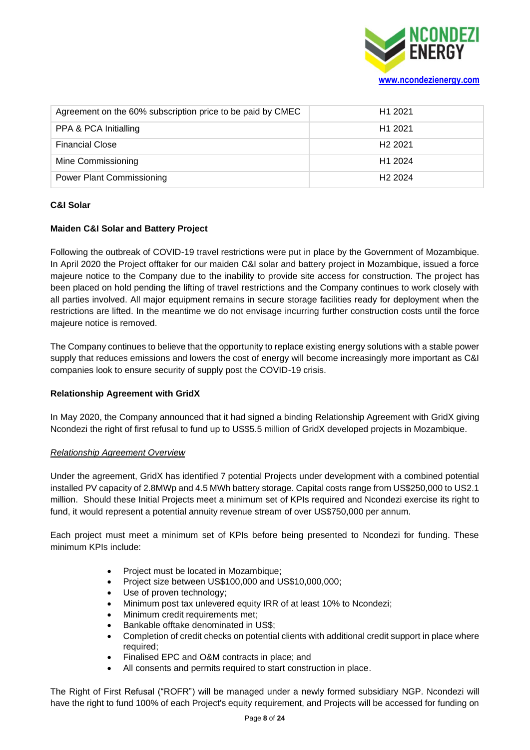

| Agreement on the 60% subscription price to be paid by CMEC | H <sub>1</sub> 2021 |
|------------------------------------------------------------|---------------------|
| PPA & PCA Initialling                                      | H <sub>1</sub> 2021 |
| <b>Financial Close</b>                                     | H <sub>2</sub> 2021 |
| Mine Commissioning                                         | H <sub>1</sub> 2024 |
| <b>Power Plant Commissioning</b>                           | H <sub>2</sub> 2024 |

# **C&I Solar**

# **Maiden C&I Solar and Battery Project**

Following the outbreak of COVID-19 travel restrictions were put in place by the Government of Mozambique. In April 2020 the Project offtaker for our maiden C&I solar and battery project in Mozambique, issued a force majeure notice to the Company due to the inability to provide site access for construction. The project has been placed on hold pending the lifting of travel restrictions and the Company continues to work closely with all parties involved. All major equipment remains in secure storage facilities ready for deployment when the restrictions are lifted. In the meantime we do not envisage incurring further construction costs until the force majeure notice is removed.

The Company continues to believe that the opportunity to replace existing energy solutions with a stable power supply that reduces emissions and lowers the cost of energy will become increasingly more important as C&I companies look to ensure security of supply post the COVID-19 crisis.

# **Relationship Agreement with GridX**

In May 2020, the Company announced that it had signed a binding Relationship Agreement with GridX giving Ncondezi the right of first refusal to fund up to US\$5.5 million of GridX developed projects in Mozambique.

# *Relationship Agreement Overview*

Under the agreement, GridX has identified 7 potential Projects under development with a combined potential installed PV capacity of 2.8MWp and 4.5 MWh battery storage. Capital costs range from US\$250,000 to US2.1 million. Should these Initial Projects meet a minimum set of KPIs required and Ncondezi exercise its right to fund, it would represent a potential annuity revenue stream of over US\$750,000 per annum.

Each project must meet a minimum set of KPIs before being presented to Ncondezi for funding. These minimum KPIs include:

- Project must be located in Mozambique;
- Project size between US\$100,000 and US\$10,000,000;
- Use of proven technology;
- Minimum post tax unlevered equity IRR of at least 10% to Ncondezi;
- Minimum credit requirements met;
- Bankable offtake denominated in US\$;
- Completion of credit checks on potential clients with additional credit support in place where required;
- Finalised EPC and O&M contracts in place; and
- All consents and permits required to start construction in place.

The Right of First Refusal ("ROFR") will be managed under a newly formed subsidiary NGP. Ncondezi will have the right to fund 100% of each Project's equity requirement, and Projects will be accessed for funding on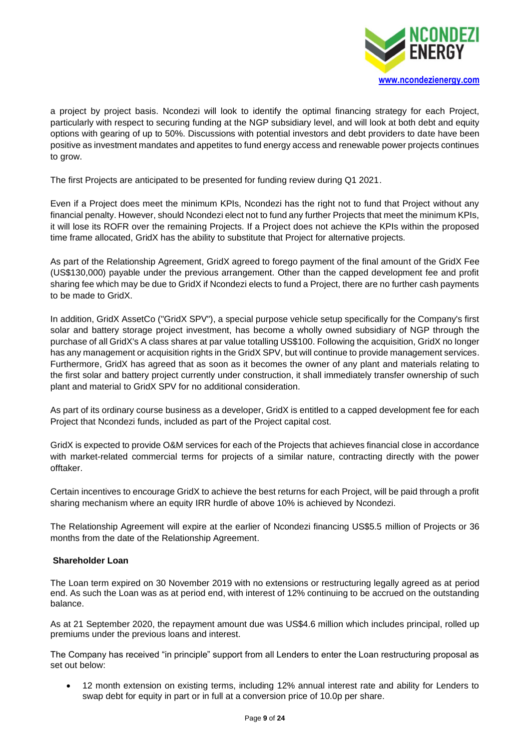

a project by project basis. Ncondezi will look to identify the optimal financing strategy for each Project, particularly with respect to securing funding at the NGP subsidiary level, and will look at both debt and equity options with gearing of up to 50%. Discussions with potential investors and debt providers to date have been positive as investment mandates and appetites to fund energy access and renewable power projects continues to grow.

The first Projects are anticipated to be presented for funding review during Q1 2021.

Even if a Project does meet the minimum KPIs, Ncondezi has the right not to fund that Project without any financial penalty. However, should Ncondezi elect not to fund any further Projects that meet the minimum KPIs, it will lose its ROFR over the remaining Projects. If a Project does not achieve the KPIs within the proposed time frame allocated, GridX has the ability to substitute that Project for alternative projects.

As part of the Relationship Agreement, GridX agreed to forego payment of the final amount of the GridX Fee (US\$130,000) payable under the previous arrangement. Other than the capped development fee and profit sharing fee which may be due to GridX if Ncondezi elects to fund a Project, there are no further cash payments to be made to GridX.

In addition, GridX AssetCo ("GridX SPV"), a special purpose vehicle setup specifically for the Company's first solar and battery storage project investment, has become a wholly owned subsidiary of NGP through the purchase of all GridX's A class shares at par value totalling US\$100. Following the acquisition, GridX no longer has any management or acquisition rights in the GridX SPV, but will continue to provide management services. Furthermore, GridX has agreed that as soon as it becomes the owner of any plant and materials relating to the first solar and battery project currently under construction, it shall immediately transfer ownership of such plant and material to GridX SPV for no additional consideration.

As part of its ordinary course business as a developer, GridX is entitled to a capped development fee for each Project that Ncondezi funds, included as part of the Project capital cost.

GridX is expected to provide O&M services for each of the Projects that achieves financial close in accordance with market-related commercial terms for projects of a similar nature, contracting directly with the power offtaker.

Certain incentives to encourage GridX to achieve the best returns for each Project, will be paid through a profit sharing mechanism where an equity IRR hurdle of above 10% is achieved by Ncondezi.

The Relationship Agreement will expire at the earlier of Ncondezi financing US\$5.5 million of Projects or 36 months from the date of the Relationship Agreement.

# **Shareholder Loan**

The Loan term expired on 30 November 2019 with no extensions or restructuring legally agreed as at period end. As such the Loan was as at period end, with interest of 12% continuing to be accrued on the outstanding balance.

As at 21 September 2020, the repayment amount due was US\$4.6 million which includes principal, rolled up premiums under the previous loans and interest.

The Company has received "in principle" support from all Lenders to enter the Loan restructuring proposal as set out below:

• 12 month extension on existing terms, including 12% annual interest rate and ability for Lenders to swap debt for equity in part or in full at a conversion price of 10.0p per share.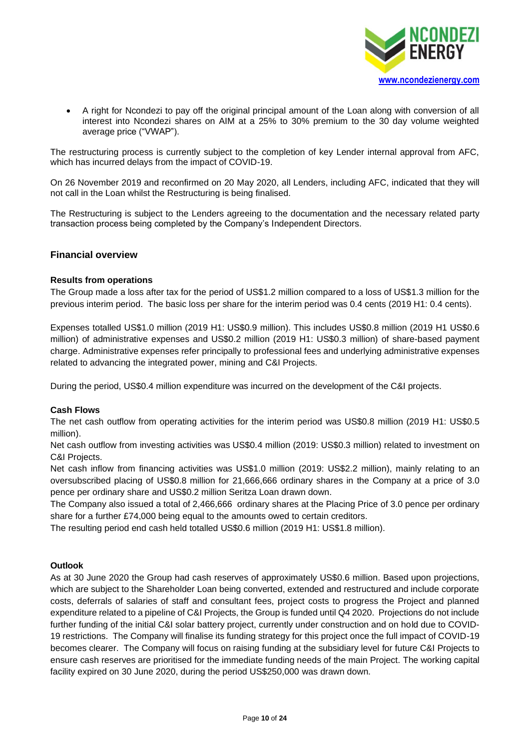

• A right for Ncondezi to pay off the original principal amount of the Loan along with conversion of all interest into Ncondezi shares on AIM at a 25% to 30% premium to the 30 day volume weighted average price ("VWAP").

The restructuring process is currently subject to the completion of key Lender internal approval from AFC, which has incurred delays from the impact of COVID-19.

On 26 November 2019 and reconfirmed on 20 May 2020, all Lenders, including AFC, indicated that they will not call in the Loan whilst the Restructuring is being finalised.

The Restructuring is subject to the Lenders agreeing to the documentation and the necessary related party transaction process being completed by the Company's Independent Directors.

# **Financial overview**

# **Results from operations**

The Group made a loss after tax for the period of US\$1.2 million compared to a loss of US\$1.3 million for the previous interim period. The basic loss per share for the interim period was 0.4 cents (2019 H1: 0.4 cents).

Expenses totalled US\$1.0 million (2019 H1: US\$0.9 million). This includes US\$0.8 million (2019 H1 US\$0.6 million) of administrative expenses and US\$0.2 million (2019 H1: US\$0.3 million) of share-based payment charge. Administrative expenses refer principally to professional fees and underlying administrative expenses related to advancing the integrated power, mining and C&I Projects.

During the period, US\$0.4 million expenditure was incurred on the development of the C&I projects.

### **Cash Flows**

The net cash outflow from operating activities for the interim period was US\$0.8 million (2019 H1: US\$0.5 million).

Net cash outflow from investing activities was US\$0.4 million (2019: US\$0.3 million) related to investment on C&I Projects.

Net cash inflow from financing activities was US\$1.0 million (2019: US\$2.2 million), mainly relating to an oversubscribed placing of US\$0.8 million for 21,666,666 ordinary shares in the Company at a price of 3.0 pence per ordinary share and US\$0.2 million Seritza Loan drawn down.

The Company also issued a total of 2,466,666 ordinary shares at the Placing Price of 3.0 pence per ordinary share for a further £74,000 being equal to the amounts owed to certain creditors.

The resulting period end cash held totalled US\$0.6 million (2019 H1: US\$1.8 million).

### **Outlook**

As at 30 June 2020 the Group had cash reserves of approximately US\$0.6 million. Based upon projections, which are subject to the Shareholder Loan being converted, extended and restructured and include corporate costs, deferrals of salaries of staff and consultant fees, project costs to progress the Project and planned expenditure related to a pipeline of C&I Projects, the Group is funded until Q4 2020. Projections do not include further funding of the initial C&I solar battery project, currently under construction and on hold due to COVID-19 restrictions. The Company will finalise its funding strategy for this project once the full impact of COVID-19 becomes clearer. The Company will focus on raising funding at the subsidiary level for future C&I Projects to ensure cash reserves are prioritised for the immediate funding needs of the main Project. The working capital facility expired on 30 June 2020, during the period US\$250,000 was drawn down.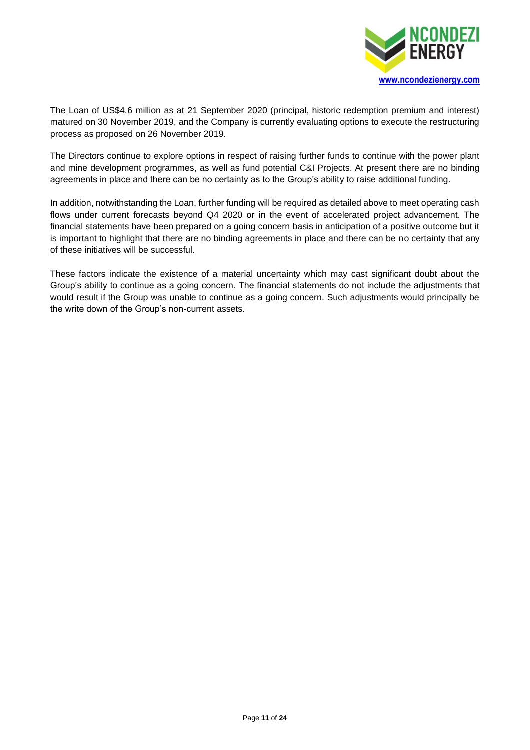

The Loan of US\$4.6 million as at 21 September 2020 (principal, historic redemption premium and interest) matured on 30 November 2019, and the Company is currently evaluating options to execute the restructuring process as proposed on 26 November 2019.

The Directors continue to explore options in respect of raising further funds to continue with the power plant and mine development programmes, as well as fund potential C&I Projects. At present there are no binding agreements in place and there can be no certainty as to the Group's ability to raise additional funding.

In addition, notwithstanding the Loan, further funding will be required as detailed above to meet operating cash flows under current forecasts beyond Q4 2020 or in the event of accelerated project advancement. The financial statements have been prepared on a going concern basis in anticipation of a positive outcome but it is important to highlight that there are no binding agreements in place and there can be no certainty that any of these initiatives will be successful.

These factors indicate the existence of a material uncertainty which may cast significant doubt about the Group's ability to continue as a going concern. The financial statements do not include the adjustments that would result if the Group was unable to continue as a going concern. Such adjustments would principally be the write down of the Group's non-current assets.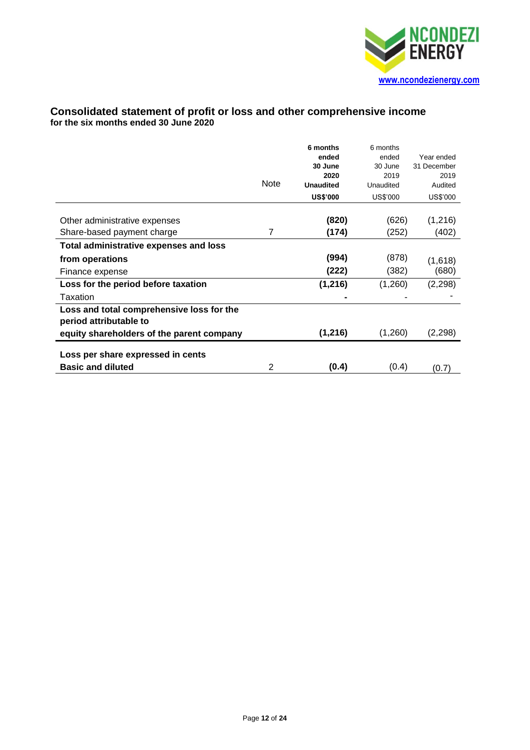

# **Consolidated statement of profit or loss and other comprehensive income for the six months ended 30 June 2020**

|                                                                     | <b>Note</b> | 6 months<br>ended<br>30 June<br>2020<br><b>Unaudited</b><br><b>US\$'000</b> | 6 months<br>ended<br>30 June<br>2019<br>Unaudited<br>US\$'000 | Year ended<br>31 December<br>2019<br>Audited<br>US\$'000 |
|---------------------------------------------------------------------|-------------|-----------------------------------------------------------------------------|---------------------------------------------------------------|----------------------------------------------------------|
| Other administrative expenses                                       |             | (820)                                                                       | (626)                                                         | (1,216)                                                  |
| Share-based payment charge                                          | 7           | (174)                                                                       | (252)                                                         | (402)                                                    |
| <b>Total administrative expenses and loss</b>                       |             |                                                                             |                                                               |                                                          |
| from operations                                                     |             | (994)                                                                       | (878)                                                         | (1,618)                                                  |
| Finance expense                                                     |             | (222)                                                                       | (382)                                                         | (680)                                                    |
| Loss for the period before taxation                                 |             | (1, 216)                                                                    | (1,260)                                                       | (2, 298)                                                 |
| Taxation                                                            |             |                                                                             |                                                               |                                                          |
| Loss and total comprehensive loss for the<br>period attributable to |             |                                                                             |                                                               |                                                          |
| equity shareholders of the parent company                           |             | (1, 216)                                                                    | (1,260)                                                       | (2, 298)                                                 |
| Loss per share expressed in cents                                   |             |                                                                             |                                                               |                                                          |
| <b>Basic and diluted</b>                                            | 2           | (0.4)                                                                       | (0.4)                                                         | (0.7)                                                    |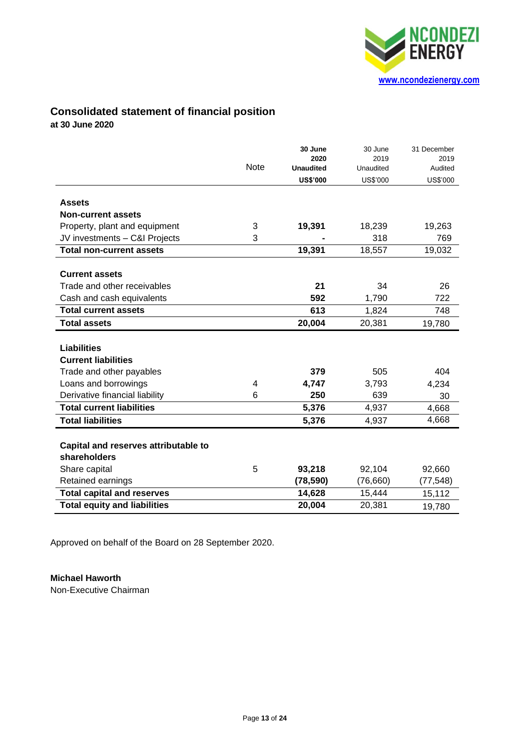

# **Consolidated statement of financial position**

**at 30 June 2020**

|                                      |             | 30 June<br>2020  | 30 June<br>2019 | 31 December<br>2019 |
|--------------------------------------|-------------|------------------|-----------------|---------------------|
|                                      | <b>Note</b> | <b>Unaudited</b> | Unaudited       | Audited             |
|                                      |             | <b>US\$'000</b>  | <b>US\$'000</b> | <b>US\$'000</b>     |
| <b>Assets</b>                        |             |                  |                 |                     |
| <b>Non-current assets</b>            |             |                  |                 |                     |
| Property, plant and equipment        | 3           | 19,391           | 18,239          | 19,263              |
| JV investments - C&I Projects        | 3           |                  | 318             | 769                 |
| <b>Total non-current assets</b>      |             | 19,391           | 18,557          | 19,032              |
|                                      |             |                  |                 |                     |
| <b>Current assets</b>                |             |                  |                 |                     |
| Trade and other receivables          |             | 21               | 34              | 26                  |
| Cash and cash equivalents            |             | 592              | 1,790           | 722                 |
| <b>Total current assets</b>          |             | 613              | 1,824           | 748                 |
| <b>Total assets</b>                  |             | 20,004           | 20,381          | 19,780              |
|                                      |             |                  |                 |                     |
| <b>Liabilities</b>                   |             |                  |                 |                     |
| <b>Current liabilities</b>           |             |                  |                 |                     |
| Trade and other payables             |             | 379              | 505             | 404                 |
| Loans and borrowings                 | 4           | 4,747            | 3,793           | 4,234               |
| Derivative financial liability       | 6           | 250              | 639             | 30                  |
| <b>Total current liabilities</b>     |             | 5,376            | 4,937           | 4,668               |
| <b>Total liabilities</b>             |             | 5,376            | 4,937           | 4,668               |
|                                      |             |                  |                 |                     |
| Capital and reserves attributable to |             |                  |                 |                     |
| shareholders                         |             |                  |                 |                     |
| Share capital                        | 5           | 93,218           | 92,104          | 92,660              |
| Retained earnings                    |             | (78, 590)        | (76, 660)       | (77, 548)           |
| <b>Total capital and reserves</b>    |             | 14,628           | 15,444          | 15,112              |
| <b>Total equity and liabilities</b>  |             | 20,004           | 20,381          | 19,780              |

Approved on behalf of the Board on 28 September 2020.

# **Michael Haworth**

Non-Executive Chairman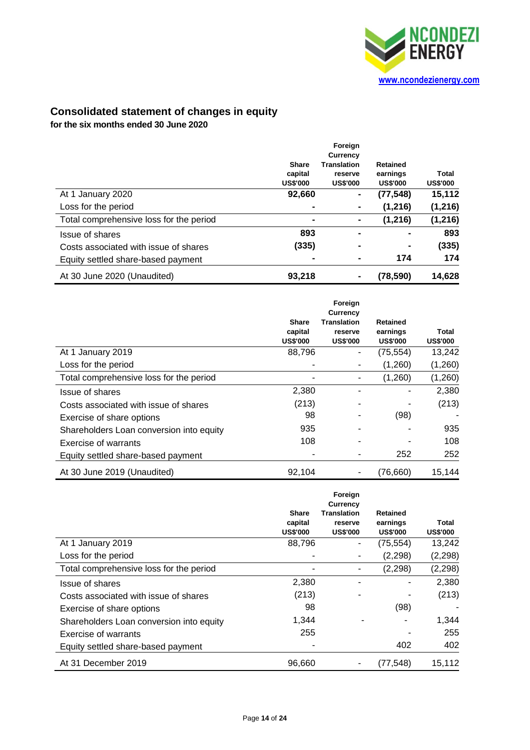

# **Consolidated statement of changes in equity**

**for the six months ended 30 June 2020**

|                                         |                                            | Foreign                                          |                                                |                          |
|-----------------------------------------|--------------------------------------------|--------------------------------------------------|------------------------------------------------|--------------------------|
|                                         |                                            | Currency                                         |                                                |                          |
|                                         | <b>Share</b><br>capital<br><b>US\$'000</b> | <b>Translation</b><br>reserve<br><b>US\$'000</b> | <b>Retained</b><br>earnings<br><b>US\$'000</b> | Total<br><b>US\$'000</b> |
| At 1 January 2020                       | 92,660                                     | -                                                | (77, 548)                                      | 15,112                   |
| Loss for the period                     |                                            |                                                  | (1, 216)                                       | (1, 216)                 |
| Total comprehensive loss for the period | $\blacksquare$                             |                                                  | (1, 216)                                       | (1, 216)                 |
| Issue of shares                         | 893                                        |                                                  |                                                | 893                      |
| Costs associated with issue of shares   | (335)                                      |                                                  |                                                | (335)                    |
| Equity settled share-based payment      | -                                          |                                                  | 174                                            | 174                      |
| At 30 June 2020 (Unaudited)             | 93,218                                     |                                                  | (78, 590)                                      | 14,628                   |

|                                          | <b>Share</b><br>capital<br><b>US\$'000</b> | Foreign<br>Currency<br><b>Translation</b><br>reserve<br><b>US\$'000</b> | <b>Retained</b><br>earnings<br><b>US\$'000</b> | Total<br><b>US\$'000</b> |
|------------------------------------------|--------------------------------------------|-------------------------------------------------------------------------|------------------------------------------------|--------------------------|
| At 1 January 2019                        | 88,796                                     |                                                                         | (75, 554)                                      | 13,242                   |
| Loss for the period                      |                                            |                                                                         | (1,260)                                        | (1,260)                  |
| Total comprehensive loss for the period  |                                            |                                                                         | (1,260)                                        | (1,260)                  |
| Issue of shares                          | 2,380                                      |                                                                         |                                                | 2,380                    |
| Costs associated with issue of shares    | (213)                                      |                                                                         |                                                | (213)                    |
| Exercise of share options                | 98                                         |                                                                         | (98)                                           |                          |
| Shareholders Loan conversion into equity | 935                                        |                                                                         |                                                | 935                      |
| Exercise of warrants                     | 108                                        |                                                                         |                                                | 108                      |
| Equity settled share-based payment       |                                            |                                                                         | 252                                            | 252                      |
| At 30 June 2019 (Unaudited)              | 92,104                                     |                                                                         | (76, 660)                                      | 15,144                   |

|                                          | <b>Share</b><br>capital<br><b>US\$'000</b> | Foreign<br>Currency<br><b>Translation</b><br>reserve<br><b>US\$'000</b> | <b>Retained</b><br>earnings<br><b>US\$'000</b> | Total<br><b>US\$'000</b> |
|------------------------------------------|--------------------------------------------|-------------------------------------------------------------------------|------------------------------------------------|--------------------------|
| At 1 January 2019                        | 88,796                                     |                                                                         | (75,554)                                       | 13,242                   |
| Loss for the period                      |                                            |                                                                         | (2, 298)                                       | (2, 298)                 |
| Total comprehensive loss for the period  |                                            |                                                                         | (2, 298)                                       | (2, 298)                 |
| Issue of shares                          | 2,380                                      |                                                                         |                                                | 2,380                    |
| Costs associated with issue of shares    | (213)                                      |                                                                         |                                                | (213)                    |
| Exercise of share options                | 98                                         |                                                                         | (98)                                           |                          |
| Shareholders Loan conversion into equity | 1,344                                      |                                                                         |                                                | 1,344                    |
| Exercise of warrants                     | 255                                        |                                                                         |                                                | 255                      |
| Equity settled share-based payment       |                                            |                                                                         | 402                                            | 402                      |
| At 31 December 2019                      | 96,660                                     |                                                                         | (77,548)                                       | 15,112                   |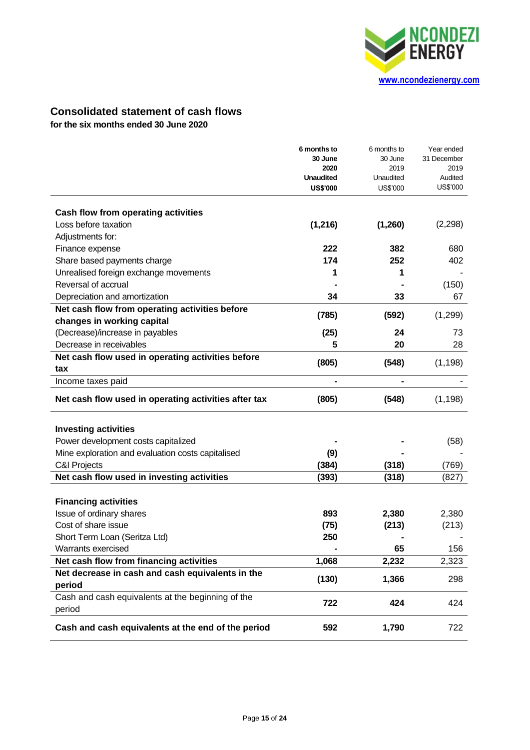

# **Consolidated statement of cash flows**

**for the six months ended 30 June 2020**

|                                                      | 6 months to<br>30 June | 6 months to<br>30 June | Year ended<br>31 December |
|------------------------------------------------------|------------------------|------------------------|---------------------------|
|                                                      | 2020                   | 2019                   | 2019                      |
|                                                      | <b>Unaudited</b>       | Unaudited              | Audited                   |
|                                                      | <b>US\$'000</b>        | US\$'000               | US\$'000                  |
| Cash flow from operating activities                  |                        |                        |                           |
| Loss before taxation                                 | (1, 216)               | (1,260)                | (2, 298)                  |
| Adjustments for:                                     |                        |                        |                           |
| Finance expense                                      | 222                    | 382                    | 680                       |
| Share based payments charge                          | 174                    | 252                    | 402                       |
| Unrealised foreign exchange movements                | 1                      | 1                      |                           |
| Reversal of accrual                                  |                        |                        | (150)                     |
| Depreciation and amortization                        | 34                     | 33                     | 67                        |
| Net cash flow from operating activities before       |                        |                        |                           |
| changes in working capital                           | (785)                  | (592)                  | (1,299)                   |
| (Decrease)/increase in payables                      | (25)                   | 24                     | 73                        |
| Decrease in receivables                              | 5                      | 20                     | 28                        |
| Net cash flow used in operating activities before    | (805)                  | (548)                  | (1, 198)                  |
| tax                                                  |                        |                        |                           |
| Income taxes paid                                    |                        | $\blacksquare$         |                           |
| Net cash flow used in operating activities after tax | (805)                  | (548)                  | (1, 198)                  |
| <b>Investing activities</b>                          |                        |                        |                           |
| Power development costs capitalized                  |                        |                        | (58)                      |
| Mine exploration and evaluation costs capitalised    | (9)                    |                        |                           |
| <b>C&amp;I Projects</b>                              | (384)                  | (318)                  | (769)                     |
| Net cash flow used in investing activities           | (393)                  | (318)                  | (827)                     |
|                                                      |                        |                        |                           |
| <b>Financing activities</b>                          |                        |                        |                           |
| Issue of ordinary shares                             | 893                    | 2,380                  | 2,380                     |
| Cost of share issue                                  | (75)                   | (213)                  | (213)                     |
| Short Term Loan (Seritza Ltd)                        | 250                    |                        |                           |
| Warrants exercised                                   |                        | 65                     | 156                       |
| Net cash flow from financing activities              | 1,068                  | 2,232                  | 2,323                     |
| Net decrease in cash and cash equivalents in the     | (130)                  | 1,366                  | 298                       |
| period                                               |                        |                        |                           |
| Cash and cash equivalents at the beginning of the    | 722                    | 424                    | 424                       |
| period                                               |                        |                        |                           |
| Cash and cash equivalents at the end of the period   | 592                    | 1,790                  | 722                       |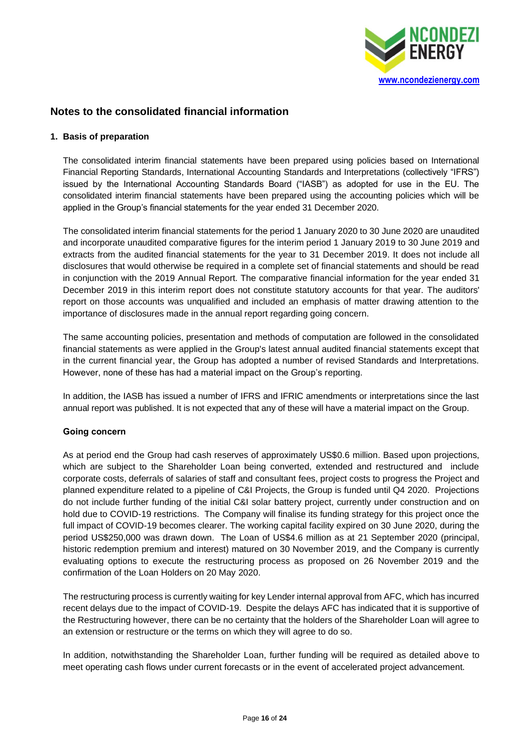

# **Notes to the consolidated financial information**

# **1. Basis of preparation**

The consolidated interim financial statements have been prepared using policies based on International Financial Reporting Standards, International Accounting Standards and Interpretations (collectively "IFRS") issued by the International Accounting Standards Board ("IASB") as adopted for use in the EU. The consolidated interim financial statements have been prepared using the accounting policies which will be applied in the Group's financial statements for the year ended 31 December 2020.

The consolidated interim financial statements for the period 1 January 2020 to 30 June 2020 are unaudited and incorporate unaudited comparative figures for the interim period 1 January 2019 to 30 June 2019 and extracts from the audited financial statements for the year to 31 December 2019. It does not include all disclosures that would otherwise be required in a complete set of financial statements and should be read in conjunction with the 2019 Annual Report. The comparative financial information for the year ended 31 December 2019 in this interim report does not constitute statutory accounts for that year. The auditors' report on those accounts was unqualified and included an emphasis of matter drawing attention to the importance of disclosures made in the annual report regarding going concern.

The same accounting policies, presentation and methods of computation are followed in the consolidated financial statements as were applied in the Group's latest annual audited financial statements except that in the current financial year, the Group has adopted a number of revised Standards and Interpretations. However, none of these has had a material impact on the Group's reporting.

In addition, the IASB has issued a number of IFRS and IFRIC amendments or interpretations since the last annual report was published. It is not expected that any of these will have a material impact on the Group.

# **Going concern**

As at period end the Group had cash reserves of approximately US\$0.6 million. Based upon projections, which are subject to the Shareholder Loan being converted, extended and restructured and include corporate costs, deferrals of salaries of staff and consultant fees, project costs to progress the Project and planned expenditure related to a pipeline of C&I Projects, the Group is funded until Q4 2020. Projections do not include further funding of the initial C&I solar battery project, currently under construction and on hold due to COVID-19 restrictions. The Company will finalise its funding strategy for this project once the full impact of COVID-19 becomes clearer. The working capital facility expired on 30 June 2020, during the period US\$250,000 was drawn down. The Loan of US\$4.6 million as at 21 September 2020 (principal, historic redemption premium and interest) matured on 30 November 2019, and the Company is currently evaluating options to execute the restructuring process as proposed on 26 November 2019 and the confirmation of the Loan Holders on 20 May 2020.

The restructuring process is currently waiting for key Lender internal approval from AFC, which has incurred recent delays due to the impact of COVID-19. Despite the delays AFC has indicated that it is supportive of the Restructuring however, there can be no certainty that the holders of the Shareholder Loan will agree to an extension or restructure or the terms on which they will agree to do so.

In addition, notwithstanding the Shareholder Loan, further funding will be required as detailed above to meet operating cash flows under current forecasts or in the event of accelerated project advancement.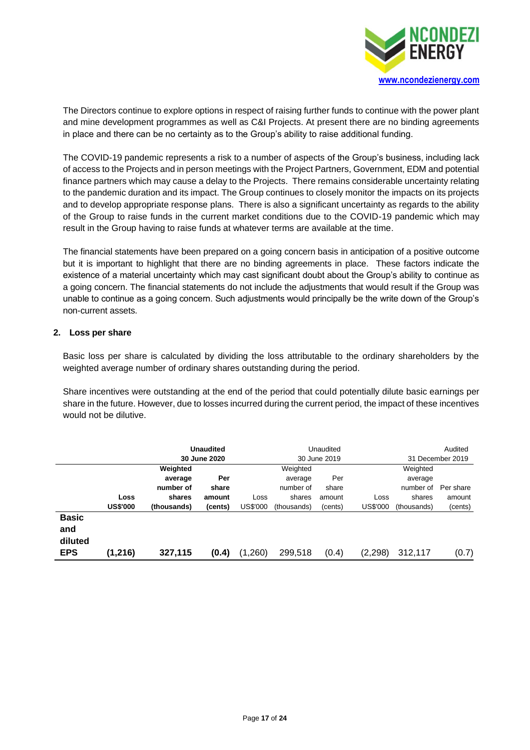

The Directors continue to explore options in respect of raising further funds to continue with the power plant and mine development programmes as well as C&I Projects. At present there are no binding agreements in place and there can be no certainty as to the Group's ability to raise additional funding.

The COVID-19 pandemic represents a risk to a number of aspects of the Group's business, including lack of access to the Projects and in person meetings with the Project Partners, Government, EDM and potential finance partners which may cause a delay to the Projects. There remains considerable uncertainty relating to the pandemic duration and its impact. The Group continues to closely monitor the impacts on its projects and to develop appropriate response plans. There is also a significant uncertainty as regards to the ability of the Group to raise funds in the current market conditions due to the COVID-19 pandemic which may result in the Group having to raise funds at whatever terms are available at the time.

The financial statements have been prepared on a going concern basis in anticipation of a positive outcome but it is important to highlight that there are no binding agreements in place. These factors indicate the existence of a material uncertainty which may cast significant doubt about the Group's ability to continue as a going concern. The financial statements do not include the adjustments that would result if the Group was unable to continue as a going concern. Such adjustments would principally be the write down of the Group's non-current assets.

# **2. Loss per share**

Basic loss per share is calculated by dividing the loss attributable to the ordinary shareholders by the weighted average number of ordinary shares outstanding during the period.

Share incentives were outstanding at the end of the period that could potentially dilute basic earnings per share in the future. However, due to losses incurred during the current period, the impact of these incentives would not be dilutive.

|                                |                 |             | <b>Unaudited</b><br>30 June 2020 | Unaudited<br>30 June 2019 |             |         | Audited<br>31 December 2019 |             |           |
|--------------------------------|-----------------|-------------|----------------------------------|---------------------------|-------------|---------|-----------------------------|-------------|-----------|
|                                |                 | Weighted    |                                  |                           | Weighted    |         |                             | Weighted    |           |
|                                |                 | average     | Per                              |                           | average     | Per     |                             | average     |           |
|                                |                 | number of   | share                            |                           | number of   | share   |                             | number of   | Per share |
|                                | Loss            | shares      | amount                           | Loss                      | shares      | amount  | Loss                        | shares      | amount    |
|                                | <b>US\$'000</b> | (thousands) | (cents)                          | US\$'000                  | (thousands) | (cents) | US\$'000                    | (thousands) | (cents)   |
| <b>Basic</b><br>and<br>diluted |                 |             |                                  |                           |             |         |                             |             |           |
| <b>EPS</b>                     | (1,216)         | 327,115     | (0.4)                            | (1,260)                   | 299,518     | (0.4)   | (2, 298)                    | 312,117     | (0.7)     |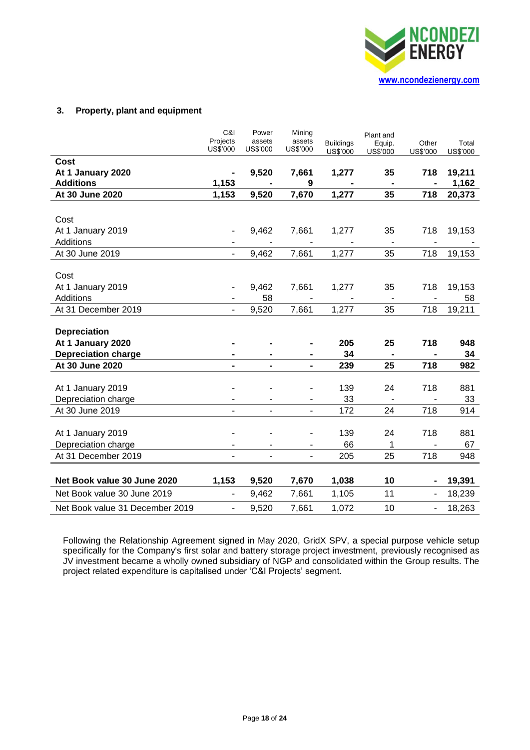

# **3. Property, plant and equipment**

|                                 | C&I<br>Projects<br><b>US\$'000</b> | Power<br>assets<br><b>US\$'000</b> | Mining<br>assets<br><b>US\$'000</b> | <b>Buildings</b><br>US\$'000 | Plant and<br>Equip.<br><b>US\$'000</b> | Other<br><b>US\$'000</b> | Total<br><b>US\$'000</b> |
|---------------------------------|------------------------------------|------------------------------------|-------------------------------------|------------------------------|----------------------------------------|--------------------------|--------------------------|
| Cost                            |                                    |                                    |                                     |                              |                                        |                          |                          |
| At 1 January 2020               |                                    | 9,520                              | 7,661                               | 1,277                        | 35                                     | 718                      | 19,211                   |
| <b>Additions</b>                | 1,153                              |                                    | 9                                   |                              |                                        |                          | 1,162                    |
| At 30 June 2020                 | 1,153                              | 9,520                              | 7,670                               | 1,277                        | 35                                     | 718                      | 20,373                   |
|                                 |                                    |                                    |                                     |                              |                                        |                          |                          |
| Cost                            |                                    |                                    |                                     |                              |                                        |                          |                          |
| At 1 January 2019               |                                    | 9,462                              | 7,661                               | 1,277                        | 35                                     | 718                      | 19,153                   |
| <b>Additions</b>                |                                    |                                    |                                     |                              |                                        |                          |                          |
| At 30 June 2019                 |                                    | 9,462                              | 7,661                               | 1,277                        | 35                                     | 718                      | 19,153                   |
|                                 |                                    |                                    |                                     |                              |                                        |                          |                          |
| Cost                            |                                    |                                    |                                     |                              |                                        |                          |                          |
| At 1 January 2019               |                                    | 9,462                              | 7,661                               | 1,277                        | 35                                     | 718                      | 19,153                   |
| <b>Additions</b>                |                                    | 58                                 |                                     |                              |                                        |                          | 58                       |
| At 31 December 2019             |                                    | 9,520                              | 7,661                               | 1,277                        | 35                                     | 718                      | 19,211                   |
|                                 |                                    |                                    |                                     |                              |                                        |                          |                          |
| <b>Depreciation</b>             |                                    |                                    |                                     |                              |                                        |                          |                          |
| At 1 January 2020               |                                    |                                    |                                     | 205                          | 25                                     | 718                      | 948                      |
| <b>Depreciation charge</b>      |                                    |                                    |                                     | 34                           |                                        |                          | 34                       |
| At 30 June 2020                 | $\qquad \qquad \blacksquare$       | $\qquad \qquad \blacksquare$       | $\blacksquare$                      | 239                          | 25                                     | 718                      | 982                      |
|                                 |                                    |                                    |                                     |                              |                                        |                          |                          |
| At 1 January 2019               |                                    |                                    |                                     | 139                          | 24                                     | 718                      | 881                      |
| Depreciation charge             |                                    |                                    |                                     | 33                           |                                        |                          | 33                       |
| At 30 June 2019                 |                                    |                                    |                                     | 172                          | 24                                     | 718                      | 914                      |
|                                 |                                    |                                    |                                     | 139                          | 24                                     | 718                      |                          |
| At 1 January 2019               |                                    |                                    |                                     | 66                           |                                        | $\blacksquare$           | 881                      |
| Depreciation charge             |                                    | $\overline{a}$                     | ä,<br>$\overline{a}$                |                              | 1                                      |                          | 67                       |
| At 31 December 2019             |                                    |                                    |                                     | 205                          | 25                                     | 718                      | 948                      |
| Net Book value 30 June 2020     | 1,153                              | 9,520                              | 7,670                               | 1,038                        | 10                                     |                          | 19,391                   |
| Net Book value 30 June 2019     | $\overline{\phantom{a}}$           | 9,462                              | 7,661                               | 1,105                        | 11                                     |                          | 18,239                   |
| Net Book value 31 December 2019 | $\blacksquare$                     | 9,520                              | 7,661                               | 1,072                        | 10                                     | $\overline{\phantom{0}}$ | 18,263                   |

Following the Relationship Agreement signed in May 2020, GridX SPV, a special purpose vehicle setup specifically for the Company's first solar and battery storage project investment, previously recognised as JV investment became a wholly owned subsidiary of NGP and consolidated within the Group results. The project related expenditure is capitalised under 'C&I Projects' segment.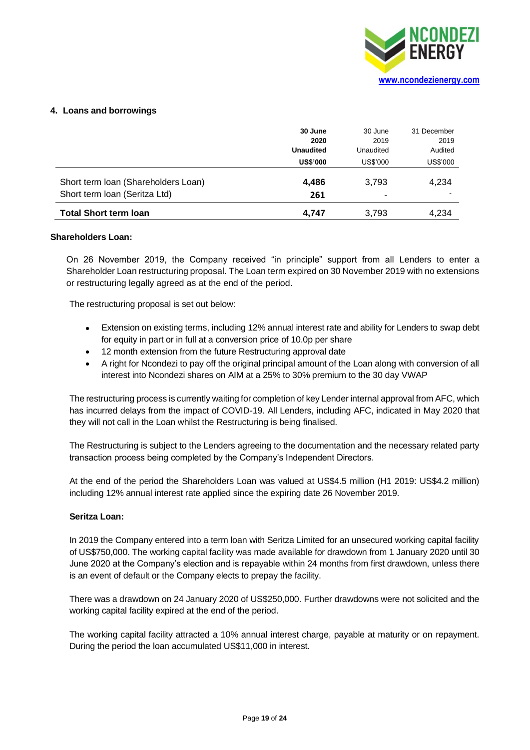

# **4. Loans and borrowings**

|                                                                      | 30 June<br>2020<br><b>Unaudited</b> | 30 June<br>2019<br>Unaudited | 31 December<br>2019<br>Audited |
|----------------------------------------------------------------------|-------------------------------------|------------------------------|--------------------------------|
|                                                                      | <b>US\$'000</b>                     | US\$'000                     | US\$'000                       |
| Short term Ioan (Shareholders Loan)<br>Short term Ioan (Seritza Ltd) | 4,486<br>261                        | 3.793                        | 4,234                          |
| <b>Total Short term loan</b>                                         | 4.747                               | 3,793                        | 4,234                          |

### **Shareholders Loan:**

On 26 November 2019, the Company received "in principle" support from all Lenders to enter a Shareholder Loan restructuring proposal. The Loan term expired on 30 November 2019 with no extensions or restructuring legally agreed as at the end of the period.

The restructuring proposal is set out below:

- Extension on existing terms, including 12% annual interest rate and ability for Lenders to swap debt for equity in part or in full at a conversion price of 10.0p per share
- 12 month extension from the future Restructuring approval date
- A right for Ncondezi to pay off the original principal amount of the Loan along with conversion of all interest into Ncondezi shares on AIM at a 25% to 30% premium to the 30 day VWAP

The restructuring process is currently waiting for completion of key Lender internal approval from AFC, which has incurred delays from the impact of COVID-19. All Lenders, including AFC, indicated in May 2020 that they will not call in the Loan whilst the Restructuring is being finalised.

The Restructuring is subject to the Lenders agreeing to the documentation and the necessary related party transaction process being completed by the Company's Independent Directors.

At the end of the period the Shareholders Loan was valued at US\$4.5 million (H1 2019: US\$4.2 million) including 12% annual interest rate applied since the expiring date 26 November 2019.

### **Seritza Loan:**

In 2019 the Company entered into a term loan with Seritza Limited for an unsecured working capital facility of US\$750,000. The working capital facility was made available for drawdown from 1 January 2020 until 30 June 2020 at the Company's election and is repayable within 24 months from first drawdown, unless there is an event of default or the Company elects to prepay the facility.

There was a drawdown on 24 January 2020 of US\$250,000. Further drawdowns were not solicited and the working capital facility expired at the end of the period.

The working capital facility attracted a 10% annual interest charge, payable at maturity or on repayment. During the period the loan accumulated US\$11,000 in interest.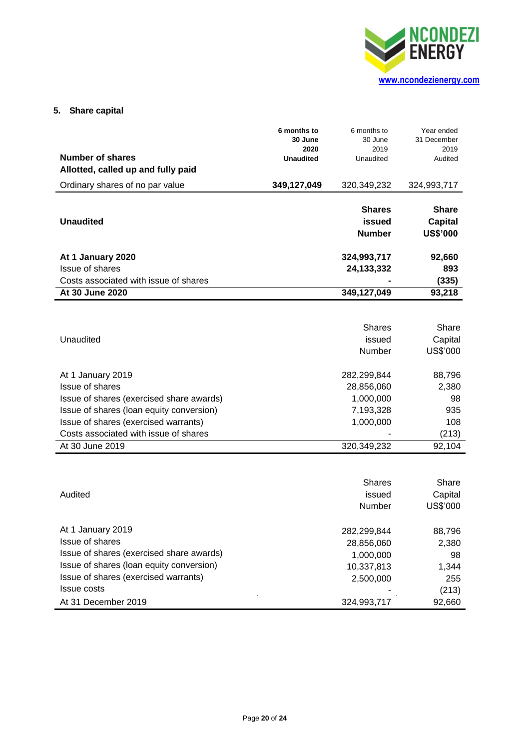

# **5. Share capital**

|                                          | 6 months to<br>30 June<br>2020 | 6 months to<br>30 June<br>2019           | Year ended<br>31 December<br>2019                 |
|------------------------------------------|--------------------------------|------------------------------------------|---------------------------------------------------|
| Number of shares                         | <b>Unaudited</b>               | Unaudited                                | Audited                                           |
| Allotted, called up and fully paid       |                                |                                          |                                                   |
| Ordinary shares of no par value          | 349,127,049                    | 320,349,232                              | 324,993,717                                       |
| <b>Unaudited</b>                         |                                | <b>Shares</b><br>issued<br><b>Number</b> | <b>Share</b><br><b>Capital</b><br><b>US\$'000</b> |
| At 1 January 2020                        |                                | 324,993,717                              | 92,660                                            |
| Issue of shares                          |                                | 24, 133, 332                             | 893                                               |
| Costs associated with issue of shares    |                                |                                          | (335)                                             |
| At 30 June 2020                          |                                | 349,127,049                              | 93,218                                            |
|                                          |                                |                                          |                                                   |
|                                          |                                | <b>Shares</b>                            | Share                                             |
| Unaudited                                |                                | issued                                   | Capital                                           |
|                                          |                                | Number                                   | US\$'000                                          |
| At 1 January 2019                        |                                | 282,299,844                              | 88,796                                            |
| Issue of shares                          |                                | 28,856,060                               | 2,380                                             |
| Issue of shares (exercised share awards) |                                | 1,000,000                                | 98                                                |
| Issue of shares (loan equity conversion) |                                | 7,193,328                                | 935                                               |
| Issue of shares (exercised warrants)     |                                | 1,000,000                                | 108                                               |
| Costs associated with issue of shares    |                                |                                          | (213)                                             |
| At 30 June 2019                          |                                | 320,349,232                              | 92,104                                            |
|                                          |                                |                                          |                                                   |
|                                          |                                | <b>Shares</b>                            | Share                                             |
| Audited                                  |                                | issued                                   | Capital                                           |
|                                          |                                | Number                                   | <b>US\$'000</b>                                   |
| At 1 January 2019                        |                                | 282,299,844                              | 88,796                                            |
| Issue of shares                          |                                | 28,856,060                               | 2,380                                             |
| Issue of shares (exercised share awards) |                                | 1,000,000                                | 98                                                |
| Issue of shares (loan equity conversion) |                                | 10,337,813                               | 1,344                                             |
| Issue of shares (exercised warrants)     |                                | 2,500,000                                | 255                                               |
| <b>Issue costs</b>                       |                                |                                          | (213)                                             |

At 31 December 2019 324,993,717 92,660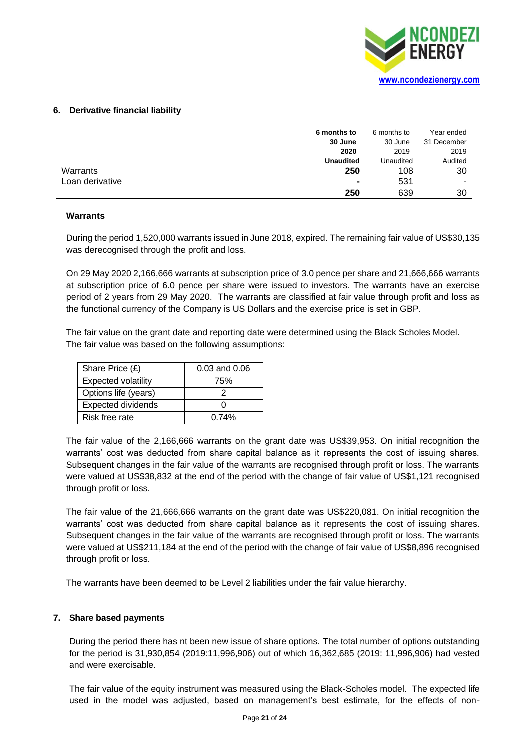

# **6. Derivative financial liability**

|                 | 6 months to      | 6 months to | Year ended  |
|-----------------|------------------|-------------|-------------|
|                 | 30 June          | 30 June     | 31 December |
|                 | 2020             | 2019        | 2019        |
|                 | <b>Unaudited</b> | Unaudited   | Audited     |
| Warrants        | 250              | 108         | 30          |
| Loan derivative | $\blacksquare$   | 531         | -           |
|                 | 250              | 639         | 30          |

### **Warrants**

During the period 1,520,000 warrants issued in June 2018, expired. The remaining fair value of US\$30,135 was derecognised through the profit and loss.

On 29 May 2020 2,166,666 warrants at subscription price of 3.0 pence per share and 21,666,666 warrants at subscription price of 6.0 pence per share were issued to investors. The warrants have an exercise period of 2 years from 29 May 2020. The warrants are classified at fair value through profit and loss as the functional currency of the Company is US Dollars and the exercise price is set in GBP.

The fair value on the grant date and reporting date were determined using the Black Scholes Model. The fair value was based on the following assumptions:

| Share Price $(E)$          | $0.03$ and $0.06$ |
|----------------------------|-------------------|
| <b>Expected volatility</b> | 75%               |
| Options life (years)       |                   |
| <b>Expected dividends</b>  |                   |
| Risk free rate             | 0.74%             |

The fair value of the 2,166,666 warrants on the grant date was US\$39,953. On initial recognition the warrants' cost was deducted from share capital balance as it represents the cost of issuing shares. Subsequent changes in the fair value of the warrants are recognised through profit or loss. The warrants were valued at US\$38,832 at the end of the period with the change of fair value of US\$1,121 recognised through profit or loss.

The fair value of the 21,666,666 warrants on the grant date was US\$220,081. On initial recognition the warrants' cost was deducted from share capital balance as it represents the cost of issuing shares. Subsequent changes in the fair value of the warrants are recognised through profit or loss. The warrants were valued at US\$211,184 at the end of the period with the change of fair value of US\$8,896 recognised through profit or loss.

The warrants have been deemed to be Level 2 liabilities under the fair value hierarchy.

### **7. Share based payments**

During the period there has nt been new issue of share options. The total number of options outstanding for the period is 31,930,854 (2019:11,996,906) out of which 16,362,685 (2019: 11,996,906) had vested and were exercisable.

The fair value of the equity instrument was measured using the Black-Scholes model. The expected life used in the model was adjusted, based on management's best estimate, for the effects of non-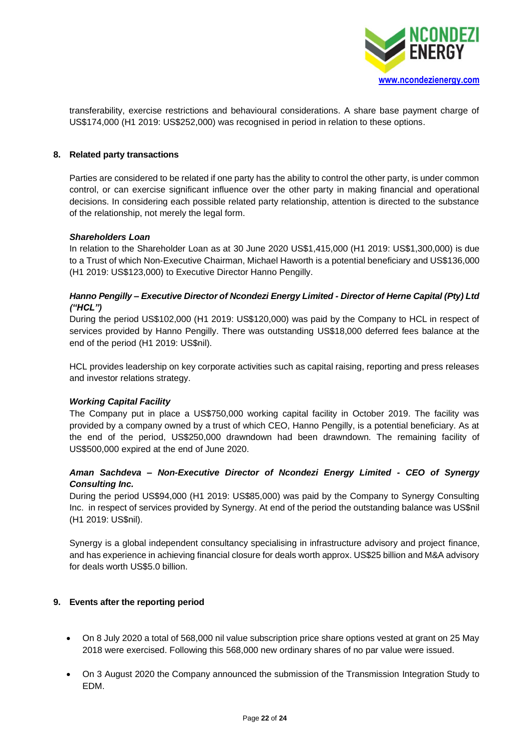

transferability, exercise restrictions and behavioural considerations. A share base payment charge of US\$174,000 (H1 2019: US\$252,000) was recognised in period in relation to these options.

# **8. Related party transactions**

Parties are considered to be related if one party has the ability to control the other party, is under common control, or can exercise significant influence over the other party in making financial and operational decisions. In considering each possible related party relationship, attention is directed to the substance of the relationship, not merely the legal form.

### *Shareholders Loan*

In relation to the Shareholder Loan as at 30 June 2020 US\$1,415,000 (H1 2019: US\$1,300,000) is due to a Trust of which Non-Executive Chairman, Michael Haworth is a potential beneficiary and US\$136,000 (H1 2019: US\$123,000) to Executive Director Hanno Pengilly.

# *Hanno Pengilly – Executive Director of Ncondezi Energy Limited - Director of Herne Capital (Pty) Ltd ("HCL")*

During the period US\$102,000 (H1 2019: US\$120,000) was paid by the Company to HCL in respect of services provided by Hanno Pengilly. There was outstanding US\$18,000 deferred fees balance at the end of the period (H1 2019: US\$nil).

HCL provides leadership on key corporate activities such as capital raising, reporting and press releases and investor relations strategy.

# *Working Capital Facility*

The Company put in place a US\$750,000 working capital facility in October 2019. The facility was provided by a company owned by a trust of which CEO, Hanno Pengilly, is a potential beneficiary. As at the end of the period, US\$250,000 drawndown had been drawndown. The remaining facility of US\$500,000 expired at the end of June 2020.

# *Aman Sachdeva – Non-Executive Director of Ncondezi Energy Limited - CEO of Synergy Consulting Inc.*

During the period US\$94,000 (H1 2019: US\$85,000) was paid by the Company to Synergy Consulting Inc. in respect of services provided by Synergy. At end of the period the outstanding balance was US\$nil (H1 2019: US\$nil).

Synergy is a global independent consultancy specialising in infrastructure advisory and project finance, and has experience in achieving financial closure for deals worth approx. US\$25 billion and M&A advisory for deals worth US\$5.0 billion.

# **9. Events after the reporting period**

- On 8 July 2020 a total of 568,000 nil value subscription price share options vested at grant on 25 May 2018 were exercised. Following this 568,000 new ordinary shares of no par value were issued.
- On 3 August 2020 the Company announced the submission of the Transmission Integration Study to EDM.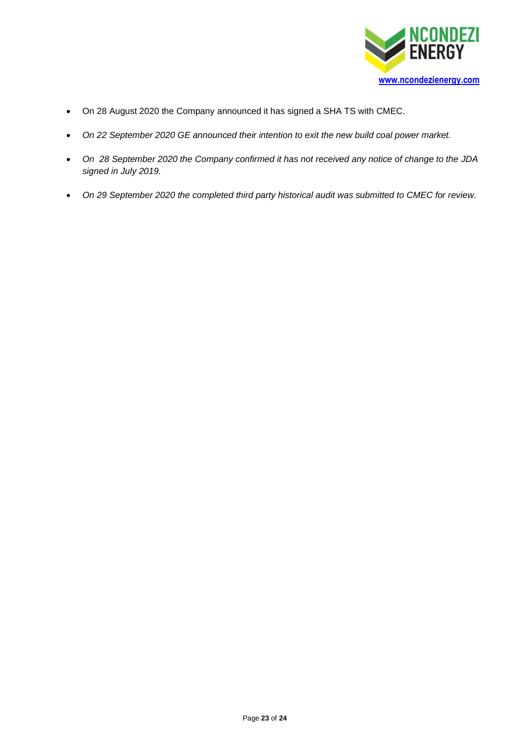

- On 28 August 2020 the Company announced it has signed a SHA TS with CMEC.
- *On 22 September 2020 GE announced their intention to exit the new build coal power market.*
- *On 28 September 2020 the Company confirmed it has not received any notice of change to the JDA signed in July 2019.*
- *On 29 September 2020 the completed third party historical audit was submitted to CMEC for review.*